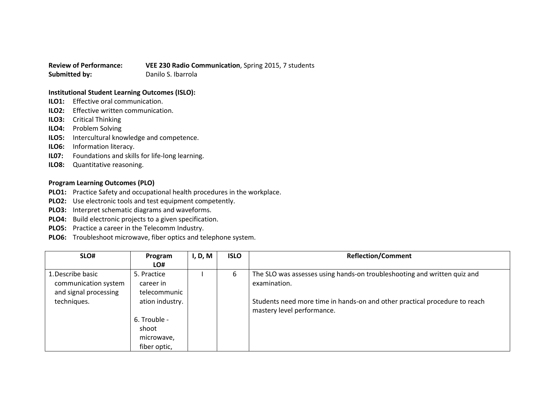**Review of Performance: VEE 230 Radio Communication**, Spring 2015, 7 students **Submitted by:** Danilo S. Ibarrola

## **Institutional Student Learning Outcomes (ISLO):**

- **ILO1:** Effective oral communication.
- **ILO2:** Effective written communication.
- **ILO3:** Critical Thinking
- **ILO4:** Problem Solving
- **ILO5:** Intercultural knowledge and competence.
- **ILO6:** Information literacy.
- **IL07:** Foundations and skills for life-long learning.
- **ILO8:** Quantitative reasoning.

## **Program Learning Outcomes (PLO)**

- **PLO1:** Practice Safety and occupational health procedures in the workplace.
- **PLO2:** Use electronic tools and test equipment competently.
- **PLO3:** Interpret schematic diagrams and waveforms.
- **PLO4:** Build electronic projects to a given specification.
- **PLO5:** Practice a career in the Telecomm Industry.
- **PLO6:** Troubleshoot microwave, fiber optics and telephone system.

| SLO#                                                                              | Program<br>LO#                                                              | I, D, M | <b>ISLO</b>                                                                                                                                                                                          | <b>Reflection/Comment</b> |
|-----------------------------------------------------------------------------------|-----------------------------------------------------------------------------|---------|------------------------------------------------------------------------------------------------------------------------------------------------------------------------------------------------------|---------------------------|
| 1. Describe basic<br>communication system<br>and signal processing<br>techniques. | 5. Practice<br>career in<br>telecommunic<br>ation industry.<br>6. Trouble - | 6       | The SLO was assesses using hands-on troubleshooting and written quiz and<br>examination.<br>Students need more time in hands-on and other practical procedure to reach<br>mastery level performance. |                           |
|                                                                                   | shoot<br>microwave,<br>fiber optic,                                         |         |                                                                                                                                                                                                      |                           |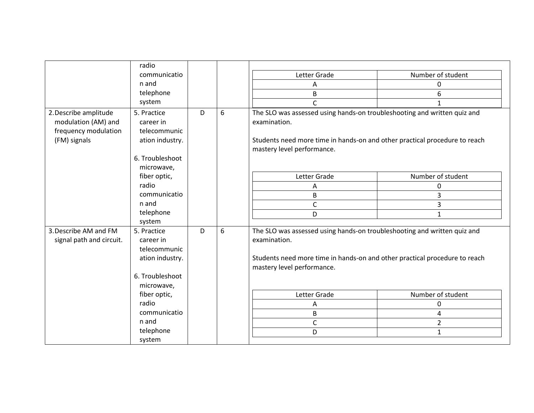|                          | radio           |   |   |                                                                                                          |                   |  |  |
|--------------------------|-----------------|---|---|----------------------------------------------------------------------------------------------------------|-------------------|--|--|
|                          | communicatio    |   |   | Letter Grade                                                                                             | Number of student |  |  |
|                          | n and           |   |   | А                                                                                                        | 0                 |  |  |
|                          | telephone       |   |   | B                                                                                                        | 6                 |  |  |
|                          | system          |   |   | C                                                                                                        | 1                 |  |  |
| 2. Describe amplitude    | 5. Practice     | D | 6 | The SLO was assessed using hands-on troubleshooting and written quiz and                                 |                   |  |  |
| modulation (AM) and      | career in       |   |   | examination.                                                                                             |                   |  |  |
| frequency modulation     | telecommunic    |   |   |                                                                                                          |                   |  |  |
| (FM) signals             | ation industry. |   |   | Students need more time in hands-on and other practical procedure to reach<br>mastery level performance. |                   |  |  |
|                          |                 |   |   |                                                                                                          |                   |  |  |
|                          | 6. Troubleshoot |   |   |                                                                                                          |                   |  |  |
|                          | microwave,      |   |   |                                                                                                          |                   |  |  |
|                          | fiber optic,    |   |   | Letter Grade                                                                                             | Number of student |  |  |
|                          | radio           |   |   | Α                                                                                                        | 0                 |  |  |
|                          | communicatio    |   |   | В                                                                                                        | 3                 |  |  |
|                          | n and           |   |   | C                                                                                                        | 3                 |  |  |
|                          | telephone       |   |   | D                                                                                                        | $\mathbf{1}$      |  |  |
|                          | system          |   |   |                                                                                                          |                   |  |  |
| 3. Describe AM and FM    | 5. Practice     | D | 6 | The SLO was assessed using hands-on troubleshooting and written quiz and                                 |                   |  |  |
| signal path and circuit. | career in       |   |   | examination.                                                                                             |                   |  |  |
|                          | telecommunic    |   |   |                                                                                                          |                   |  |  |
|                          | ation industry. |   |   | Students need more time in hands-on and other practical procedure to reach                               |                   |  |  |
|                          |                 |   |   | mastery level performance.                                                                               |                   |  |  |
|                          | 6. Troubleshoot |   |   |                                                                                                          |                   |  |  |
|                          | microwave,      |   |   |                                                                                                          |                   |  |  |
|                          | fiber optic,    |   |   | Letter Grade                                                                                             | Number of student |  |  |
|                          | radio           |   |   | Α                                                                                                        | 0                 |  |  |
|                          | communicatio    |   |   | B                                                                                                        | 4                 |  |  |
|                          | n and           |   |   | С                                                                                                        | $\overline{2}$    |  |  |
|                          | telephone       |   |   | D                                                                                                        | $\mathbf{1}$      |  |  |
|                          | system          |   |   |                                                                                                          |                   |  |  |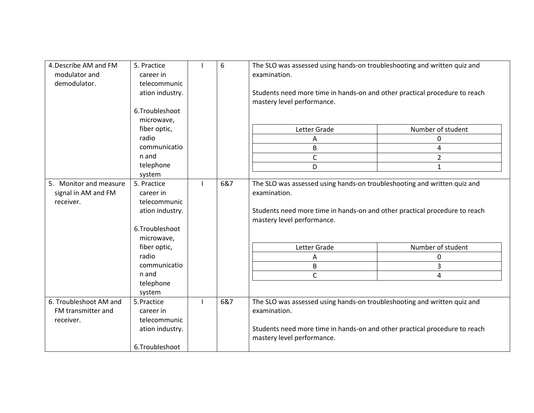| 4. Describe AM and FM<br>modulator and<br>demodulator.     | 5. Practice<br>career in<br>telecommunic<br>ation industry.<br>6.Troubleshoot<br>microwave, | 6   | The SLO was assessed using hands-on troubleshooting and written quiz and<br>examination.<br>Students need more time in hands-on and other practical procedure to reach<br>mastery level performance. |                   |
|------------------------------------------------------------|---------------------------------------------------------------------------------------------|-----|------------------------------------------------------------------------------------------------------------------------------------------------------------------------------------------------------|-------------------|
|                                                            | fiber optic,                                                                                |     | Letter Grade                                                                                                                                                                                         | Number of student |
|                                                            | radio                                                                                       |     | A                                                                                                                                                                                                    | 0                 |
|                                                            | communicatio                                                                                |     | B                                                                                                                                                                                                    | 4                 |
|                                                            | n and                                                                                       |     | $\mathsf{C}$                                                                                                                                                                                         | $\overline{2}$    |
|                                                            | telephone                                                                                   |     | D                                                                                                                                                                                                    | 1                 |
|                                                            | system                                                                                      |     |                                                                                                                                                                                                      |                   |
| 5. Monitor and measure<br>signal in AM and FM<br>receiver. | 5. Practice<br>career in<br>telecommunic<br>ation industry.<br>6.Troubleshoot<br>microwave, | 6&7 | The SLO was assessed using hands-on troubleshooting and written quiz and<br>examination.<br>Students need more time in hands-on and other practical procedure to reach<br>mastery level performance. |                   |
|                                                            | fiber optic,                                                                                |     | Letter Grade                                                                                                                                                                                         | Number of student |
|                                                            | radio                                                                                       |     | Α                                                                                                                                                                                                    | 0                 |
|                                                            | communicatio                                                                                |     | B                                                                                                                                                                                                    | 3                 |
|                                                            | n and                                                                                       |     | $\mathsf{C}$                                                                                                                                                                                         | 4                 |
|                                                            | telephone<br>system                                                                         |     |                                                                                                                                                                                                      |                   |
| 6. Troubleshoot AM and<br>FM transmitter and<br>receiver.  | 5. Practice<br>career in<br>telecommunic<br>ation industry.                                 | 6&7 | The SLO was assessed using hands-on troubleshooting and written quiz and<br>examination.<br>Students need more time in hands-on and other practical procedure to reach<br>mastery level performance. |                   |
|                                                            | 6.Troubleshoot                                                                              |     |                                                                                                                                                                                                      |                   |